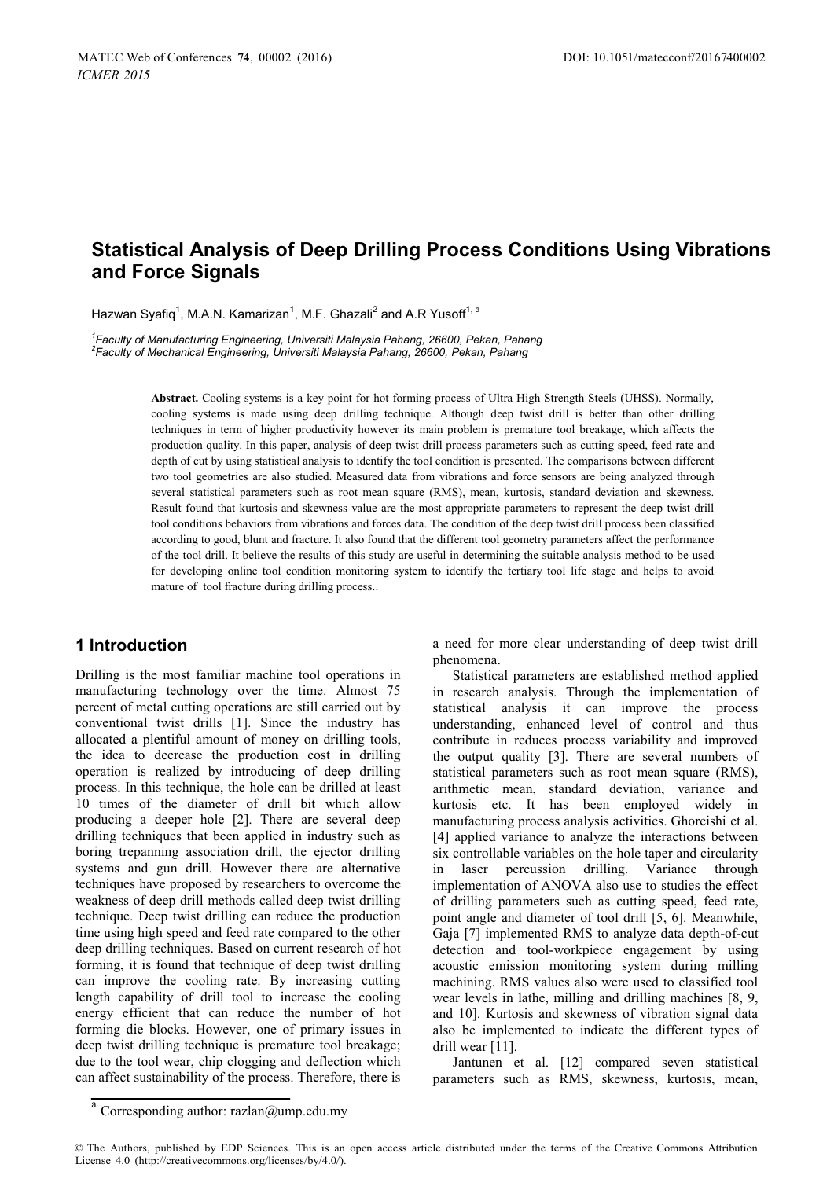# **Statistical Analysis of Deep Drilling Process Conditions Using Vibrations and Force Signals**

Hazwan Svafig<sup>1</sup>, M.A.N. Kamarizan<sup>1</sup>, M.F. Ghazali<sup>2</sup> and A.R Yusoff<sup>1, a</sup>

<sup>1</sup>Faculty of Manufacturing Engineering, Universiti Malaysia Pahang, 26600, Pekan, Pahang *Faculty of Manufacturing Engineering, Universiti Malaysia Pahang, 26600, Pekan, Pahang 2 Faculty of Mechanical Engineering, Universiti Malaysia Pahang, 26600, Pekan, Pahang* 

> **Abstract.** Cooling systems is a key point for hot forming process of Ultra High Strength Steels (UHSS). Normally, cooling systems is made using deep drilling technique. Although deep twist drill is better than other drilling techniques in term of higher productivity however its main problem is premature tool breakage, which affects the production quality. In this paper, analysis of deep twist drill process parameters such as cutting speed, feed rate and depth of cut by using statistical analysis to identify the tool condition is presented. The comparisons between different two tool geometries are also studied. Measured data from vibrations and force sensors are being analyzed through several statistical parameters such as root mean square (RMS), mean, kurtosis, standard deviation and skewness. Result found that kurtosis and skewness value are the most appropriate parameters to represent the deep twist drill tool conditions behaviors from vibrations and forces data. The condition of the deep twist drill process been classified according to good, blunt and fracture. It also found that the different tool geometry parameters affect the performance of the tool drill. It believe the results of this study are useful in determining the suitable analysis method to be used for developing online tool condition monitoring system to identify the tertiary tool life stage and helps to avoid mature of tool fracture during drilling process..

### **1 Introduction**

Drilling is the most familiar machine tool operations in manufacturing technology over the time. Almost 75 percent of metal cutting operations are still carried out by conventional twist drills [1]. Since the industry has allocated a plentiful amount of money on drilling tools, the idea to decrease the production cost in drilling operation is realized by introducing of deep drilling process. In this technique, the hole can be drilled at least 10 times of the diameter of drill bit which allow producing a deeper hole [2]. There are several deep drilling techniques that been applied in industry such as boring trepanning association drill, the ejector drilling systems and gun drill. However there are alternative techniques have proposed by researchers to overcome the weakness of deep drill methods called deep twist drilling technique. Deep twist drilling can reduce the production time using high speed and feed rate compared to the other deep drilling techniques. Based on current research of hot forming, it is found that technique of deep twist drilling can improve the cooling rate. By increasing cutting length capability of drill tool to increase the cooling energy efficient that can reduce the number of hot forming die blocks. However, one of primary issues in deep twist drilling technique is premature tool breakage; due to the tool wear, chip clogging and deflection which can affect sustainability of the process. Therefore, there is a need for more clear understanding of deep twist drill phenomena.

Statistical parameters are established method applied in research analysis. Through the implementation of statistical analysis it can improve the process understanding, enhanced level of control and thus contribute in reduces process variability and improved the output quality [3]. There are several numbers of statistical parameters such as root mean square (RMS), arithmetic mean, standard deviation, variance and kurtosis etc. It has been employed widely in manufacturing process analysis activities. Ghoreishi et al. [4] applied variance to analyze the interactions between six controllable variables on the hole taper and circularity in laser percussion drilling. Variance through implementation of ANOVA also use to studies the effect of drilling parameters such as cutting speed, feed rate, point angle and diameter of tool drill [5, 6]. Meanwhile, Gaja [7] implemented RMS to analyze data depth-of-cut detection and tool-workpiece engagement by using acoustic emission monitoring system during milling machining. RMS values also were used to classified tool wear levels in lathe, milling and drilling machines [8, 9, and 10]. Kurtosis and skewness of vibration signal data also be implemented to indicate the different types of drill wear [11].

Jantunen et al. [12] compared seven statistical parameters such as RMS, skewness, kurtosis, mean,

 $a$  Corresponding author: razlan@ump.edu.my

<sup>©</sup> The Authors, published by EDP Sciences. This is an open access article distributed under the terms of the Creative Commons Attribution License 4.0 (http://creativecommons.org/licenses/by/4.0/).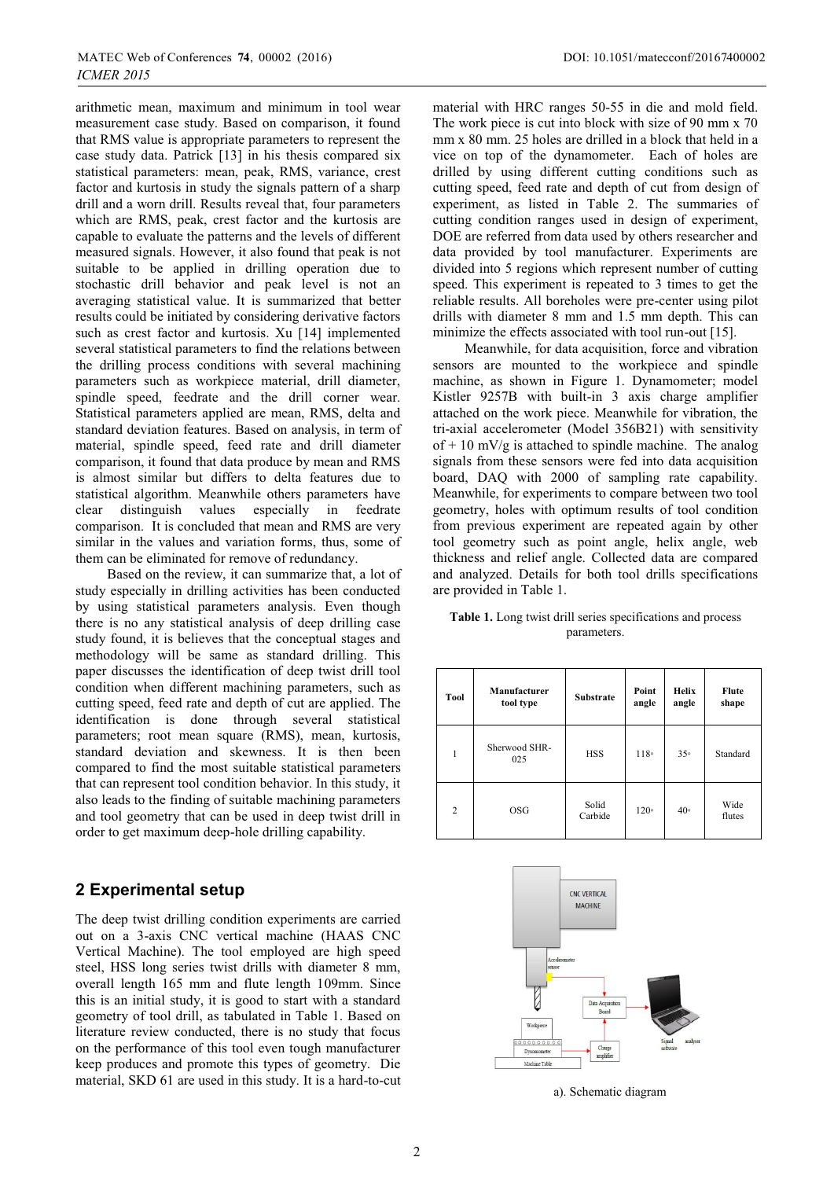arithmetic mean, maximum and minimum in tool wear measurement case study. Based on comparison, it found that RMS value is appropriate parameters to represent the case study data. Patrick [13] in his thesis compared six statistical parameters: mean, peak, RMS, variance, crest factor and kurtosis in study the signals pattern of a sharp drill and a worn drill. Results reveal that, four parameters which are RMS, peak, crest factor and the kurtosis are capable to evaluate the patterns and the levels of different measured signals. However, it also found that peak is not suitable to be applied in drilling operation due to stochastic drill behavior and peak level is not an averaging statistical value. It is summarized that better results could be initiated by considering derivative factors such as crest factor and kurtosis. Xu [14] implemented several statistical parameters to find the relations between the drilling process conditions with several machining parameters such as workpiece material, drill diameter, spindle speed, feedrate and the drill corner wear. Statistical parameters applied are mean, RMS, delta and standard deviation features. Based on analysis, in term of material, spindle speed, feed rate and drill diameter comparison, it found that data produce by mean and RMS is almost similar but differs to delta features due to statistical algorithm. Meanwhile others parameters have clear distinguish values especially in feedrate comparison. It is concluded that mean and RMS are very similar in the values and variation forms, thus, some of them can be eliminated for remove of redundancy.

 Based on the review, it can summarize that, a lot of study especially in drilling activities has been conducted by using statistical parameters analysis. Even though there is no any statistical analysis of deep drilling case study found, it is believes that the conceptual stages and methodology will be same as standard drilling. This paper discusses the identification of deep twist drill tool condition when different machining parameters, such as cutting speed, feed rate and depth of cut are applied. The identification is done through several statistical parameters; root mean square (RMS), mean, kurtosis, standard deviation and skewness. It is then been compared to find the most suitable statistical parameters that can represent tool condition behavior. In this study, it also leads to the finding of suitable machining parameters and tool geometry that can be used in deep twist drill in order to get maximum deep-hole drilling capability.

# **2 Experimental setup**

The deep twist drilling condition experiments are carried out on a 3-axis CNC vertical machine (HAAS CNC Vertical Machine). The tool employed are high speed steel, HSS long series twist drills with diameter 8 mm, overall length 165 mm and flute length 109mm. Since this is an initial study, it is good to start with a standard geometry of tool drill, as tabulated in Table 1. Based on literature review conducted, there is no study that focus on the performance of this tool even tough manufacturer keep produces and promote this types of geometry. Die material, SKD 61 are used in this study. It is a hard-to-cut

material with HRC ranges 50-55 in die and mold field. The work piece is cut into block with size of 90 mm x 70 mm x 80 mm. 25 holes are drilled in a block that held in a vice on top of the dynamometer. Each of holes are drilled by using different cutting conditions such as cutting speed, feed rate and depth of cut from design of experiment, as listed in Table 2. The summaries of cutting condition ranges used in design of experiment, DOE are referred from data used by others researcher and data provided by tool manufacturer. Experiments are divided into 5 regions which represent number of cutting speed. This experiment is repeated to 3 times to get the reliable results. All boreholes were pre-center using pilot drills with diameter 8 mm and 1.5 mm depth. This can minimize the effects associated with tool run-out [15].

 Meanwhile, for data acquisition, force and vibration sensors are mounted to the workpiece and spindle machine, as shown in Figure 1. Dynamometer; model Kistler 9257B with built-in 3 axis charge amplifier attached on the work piece. Meanwhile for vibration, the tri-axial accelerometer (Model 356B21) with sensitivity of  $+ 10$  mV/g is attached to spindle machine. The analog signals from these sensors were fed into data acquisition board, DAQ with 2000 of sampling rate capability. Meanwhile, for experiments to compare between two tool geometry, holes with optimum results of tool condition from previous experiment are repeated again by other tool geometry such as point angle, helix angle, web thickness and relief angle. Collected data are compared and analyzed. Details for both tool drills specifications are provided in Table 1.

| <b>Table 1.</b> Long twist drill series specifications and process |  |
|--------------------------------------------------------------------|--|
| parameters.                                                        |  |

| Tool           | Manufacturer<br>tool type | <b>Substrate</b> | Point<br>angle | <b>Helix</b><br>angle | <b>Flute</b><br>shape |
|----------------|---------------------------|------------------|----------------|-----------------------|-----------------------|
| 1              | Sherwood SHR-<br>025      | <b>HSS</b>       | 118°           | 35°                   | Standard              |
| $\overline{c}$ | <b>OSG</b>                | Solid<br>Carbide | 120°           | 40 <sup>°</sup>       | Wide<br>flutes        |



a). Schematic diagram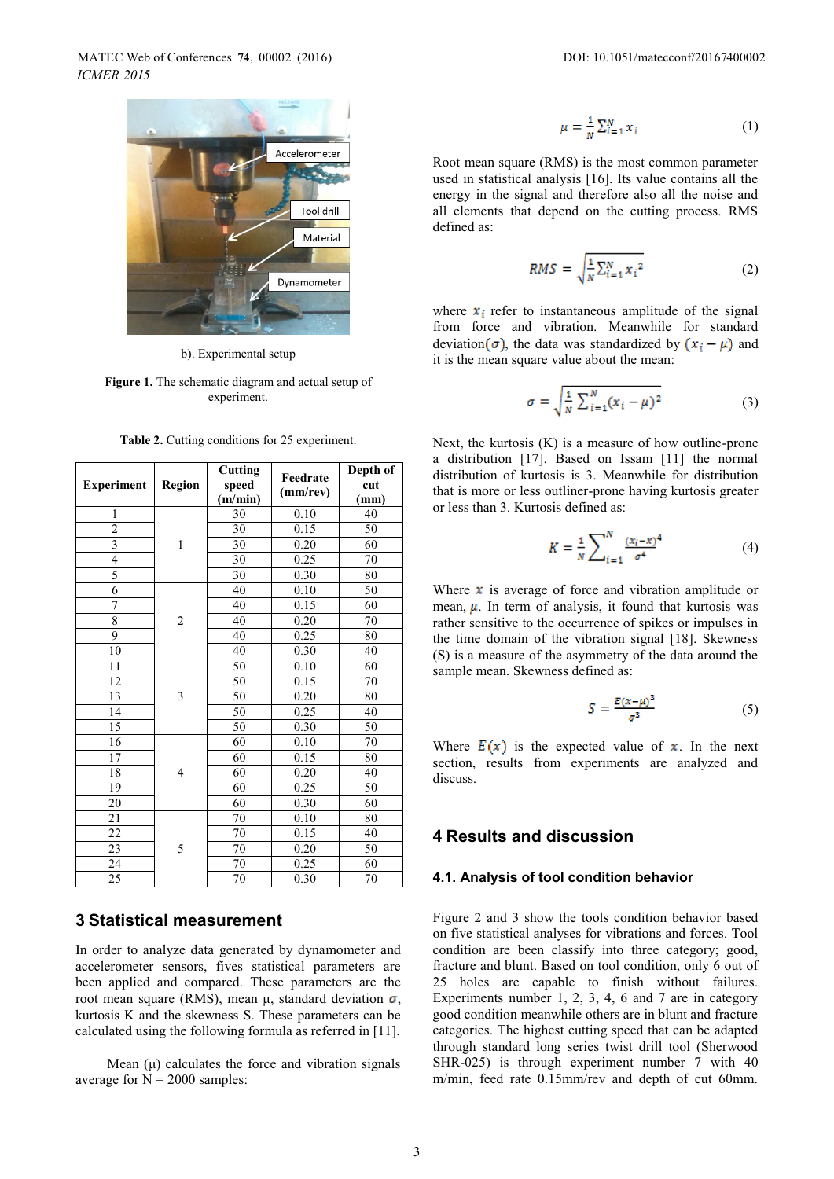

b). Experimental setup

**Figure 1.** The schematic diagram and actual setup of experiment.

**Table 2.** Cutting conditions for 25 experiment.

| <b>Experiment</b> | <b>Region</b>  | Cutting<br>speed<br>(m/min) | Feedrate<br>(mm/rev) | Depth of<br>cut<br>(mm) |
|-------------------|----------------|-----------------------------|----------------------|-------------------------|
| 1                 |                | 30                          | 0.10                 | 40                      |
| $\overline{c}$    |                | 30                          | 0.15                 | 50                      |
| $\overline{3}$    | 1              | 30                          | 0.20                 | 60                      |
| $\overline{4}$    |                | 30                          | 0.25                 | 70                      |
| 5                 |                | 30                          | 0.30                 | 80                      |
| 6                 |                | 40                          | 0.10                 | 50                      |
| 7                 |                | 40                          | 0.15                 | 60                      |
| 8                 | $\sqrt{2}$     | 40                          | 0.20                 | 70                      |
| 9                 |                | 40                          | 0.25                 | 80                      |
| 10                |                | 40                          | 0.30                 | 40                      |
| 11                |                | 50                          | 0.10                 | 60                      |
| 12                |                | 50                          | 0.15                 | 70                      |
| 13                | 3              | 50                          | 0.20                 | 80                      |
| 14                |                | 50                          | 0.25                 | 40                      |
| 15                |                | 50                          | 0.30                 | 50                      |
| 16                |                | 60                          | 0.10                 | 70                      |
| 17                |                | 60                          | 0.15                 | 80                      |
| 18                | $\overline{4}$ | 60                          | 0.20                 | 40                      |
| 19                |                | 60                          | 0.25                 | 50                      |
| 20                |                | 60                          | 0.30                 | 60                      |
| 21                |                | 70                          | 0.10                 | 80                      |
| 22                |                | 70                          | 0.15                 | 40                      |
| 23                | 5              | 70                          | 0.20                 | 50                      |
| 24                |                | 70                          | 0.25                 | 60                      |
| 25                |                | 70                          | 0.30                 | 70                      |

### **3 Statistical measurement**

In order to analyze data generated by dynamometer and accelerometer sensors, fives statistical parameters are been applied and compared. These parameters are the root mean square (RMS), mean μ, standard deviation  $σ$ , kurtosis K and the skewness S. These parameters can be calculated using the following formula as referred in [11].

Mean  $(\mu)$  calculates the force and vibration signals average for  $N = 2000$  samples:

$$
\mu = \frac{1}{N} \sum_{i=1}^{N} x_i \tag{1}
$$

Root mean square (RMS) is the most common parameter used in statistical analysis [16]. Its value contains all the energy in the signal and therefore also all the noise and all elements that depend on the cutting process. RMS defined as:

$$
RMS = \sqrt{\frac{1}{N} \sum_{i=1}^{N} x_i^2}
$$
 (2)

where  $x_i$  refer to instantaneous amplitude of the signal from force and vibration. Meanwhile for standard deviation ( $\sigma$ ), the data was standardized by  $(x_i - \mu)$  and it is the mean square value about the mean:

$$
\sigma = \sqrt{\frac{1}{N} \sum_{i=1}^{N} (x_i - \mu)^2}
$$
 (3)

Next, the kurtosis (K) is a measure of how outline-prone a distribution [17]. Based on Issam [11] the normal distribution of kurtosis is 3. Meanwhile for distribution that is more or less outliner-prone having kurtosis greater or less than 3. Kurtosis defined as:

$$
K = \frac{1}{N} \sum_{i=1}^{N} \frac{(x_i - x)^4}{\sigma^4}
$$
 (4)

Where  $\boldsymbol{x}$  is average of force and vibration amplitude or mean,  $\mu$ . In term of analysis, it found that kurtosis was rather sensitive to the occurrence of spikes or impulses in the time domain of the vibration signal [18]. Skewness (S) is a measure of the asymmetry of the data around the sample mean. Skewness defined as:

$$
S = \frac{E(x-\mu)^3}{\sigma^3} \tag{5}
$$

Where  $E(x)$  is the expected value of x. In the next section, results from experiments are analyzed and discuss.

# **4 Results and discussion**

#### **4.1. Analysis of tool condition behavior**

Figure 2 and 3 show the tools condition behavior based on five statistical analyses for vibrations and forces. Tool condition are been classify into three category; good, fracture and blunt. Based on tool condition, only 6 out of 25 holes are capable to finish without failures. Experiments number 1, 2, 3, 4, 6 and 7 are in category good condition meanwhile others are in blunt and fracture categories. The highest cutting speed that can be adapted through standard long series twist drill tool (Sherwood SHR-025) is through experiment number 7 with 40 m/min, feed rate 0.15mm/rev and depth of cut 60mm.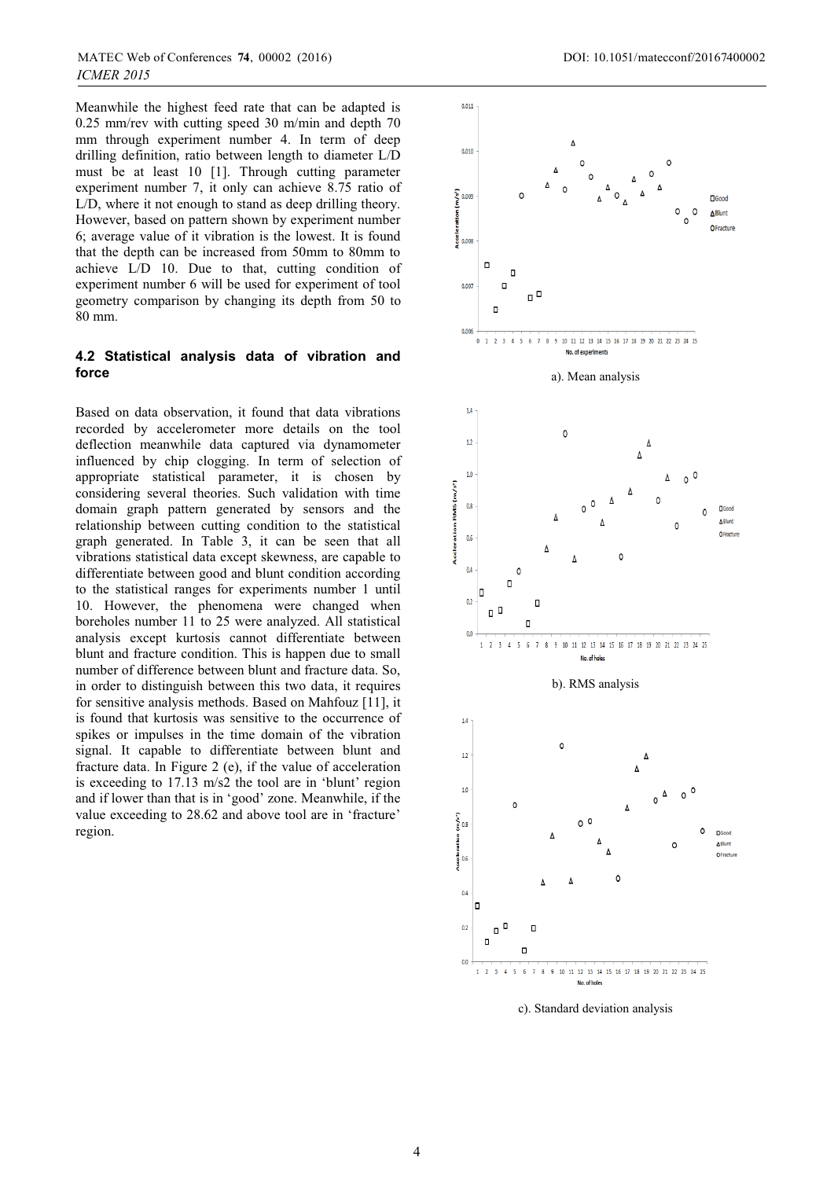Meanwhile the highest feed rate that can be adapted is 0.25 mm/rev with cutting speed 30 m/min and depth 70 mm through experiment number 4. In term of deep drilling definition, ratio between length to diameter L/D must be at least 10 [1]. Through cutting parameter experiment number 7, it only can achieve 8.75 ratio of L/D, where it not enough to stand as deep drilling theory. However, based on pattern shown by experiment number 6; average value of it vibration is the lowest. It is found that the depth can be increased from 50mm to 80mm to achieve L/D 10. Due to that, cutting condition of experiment number 6 will be used for experiment of tool geometry comparison by changing its depth from 50 to 80 mm.

#### **4.2 Statistical analysis data of vibration and force**

Based on data observation, it found that data vibrations recorded by accelerometer more details on the tool deflection meanwhile data captured via dynamometer influenced by chip clogging. In term of selection of appropriate statistical parameter, it is chosen by considering several theories. Such validation with time domain graph pattern generated by sensors and the relationship between cutting condition to the statistical graph generated. In Table 3, it can be seen that all vibrations statistical data except skewness, are capable to differentiate between good and blunt condition according to the statistical ranges for experiments number 1 until 10. However, the phenomena were changed when boreholes number 11 to 25 were analyzed. All statistical analysis except kurtosis cannot differentiate between blunt and fracture condition. This is happen due to small number of difference between blunt and fracture data. So, in order to distinguish between this two data, it requires for sensitive analysis methods. Based on Mahfouz [11], it is found that kurtosis was sensitive to the occurrence of spikes or impulses in the time domain of the vibration signal. It capable to differentiate between blunt and fracture data. In Figure 2 (e), if the value of acceleration is exceeding to 17.13 m/s2 the tool are in 'blunt' region and if lower than that is in 'good' zone. Meanwhile, if the value exceeding to 28.62 and above tool are in 'fracture' region.



c). Standard deviation analysis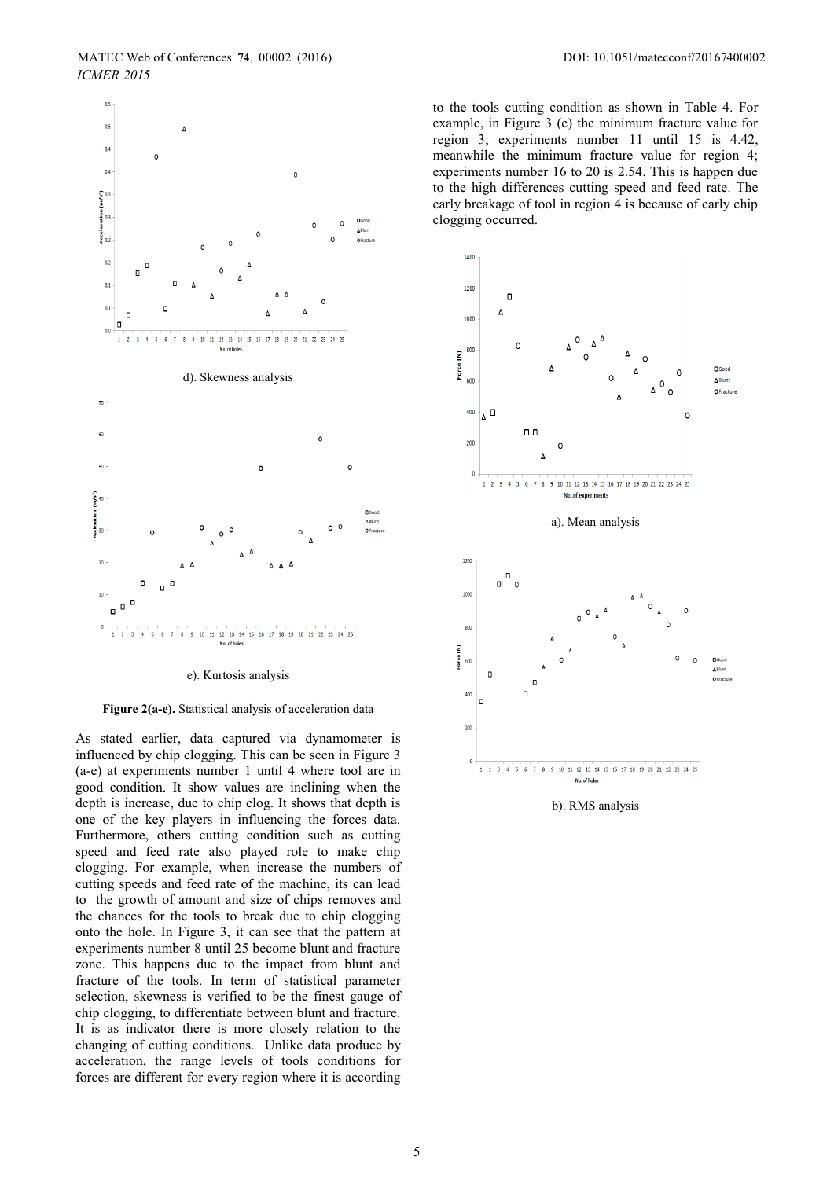

#### e). Kurtosis analysis

**Figure 2(a-e).** Statistical analysis of acceleration data

As stated earlier, data captured via dynamometer is influenced by chip clogging. This can be seen in Figure 3 (a-e) at experiments number 1 until 4 where tool are in good condition. It show values are inclining when the depth is increase, due to chip clog. It shows that depth is one of the key players in influencing the forces data. Furthermore, others cutting condition such as cutting speed and feed rate also played role to make chip clogging. For example, when increase the numbers of cutting speeds and feed rate of the machine, its can lead to the growth of amount and size of chips removes and the chances for the tools to break due to chip clogging onto the hole. In Figure 3, it can see that the pattern at experiments number 8 until 25 become blunt and fracture zone. This happens due to the impact from blunt and fracture of the tools. In term of statistical parameter selection, skewness is verified to be the finest gauge of chip clogging, to differentiate between blunt and fracture. It is as indicator there is more closely relation to the changing of cutting conditions. Unlike data produce by acceleration, the range levels of tools conditions for forces are different for every region where it is according

to the tools cutting condition as shown in Table 4. For example, in Figure 3 (e) the minimum fracture value for region 3; experiments number 11 until 15 is 4.42, meanwhile the minimum fracture value for region 4; experiments number 16 to 20 is 2.54. This is happen due to the high differences cutting speed and feed rate. The early breakage of tool in region 4 is because of early chip clogging occurred.



b). RMS analysis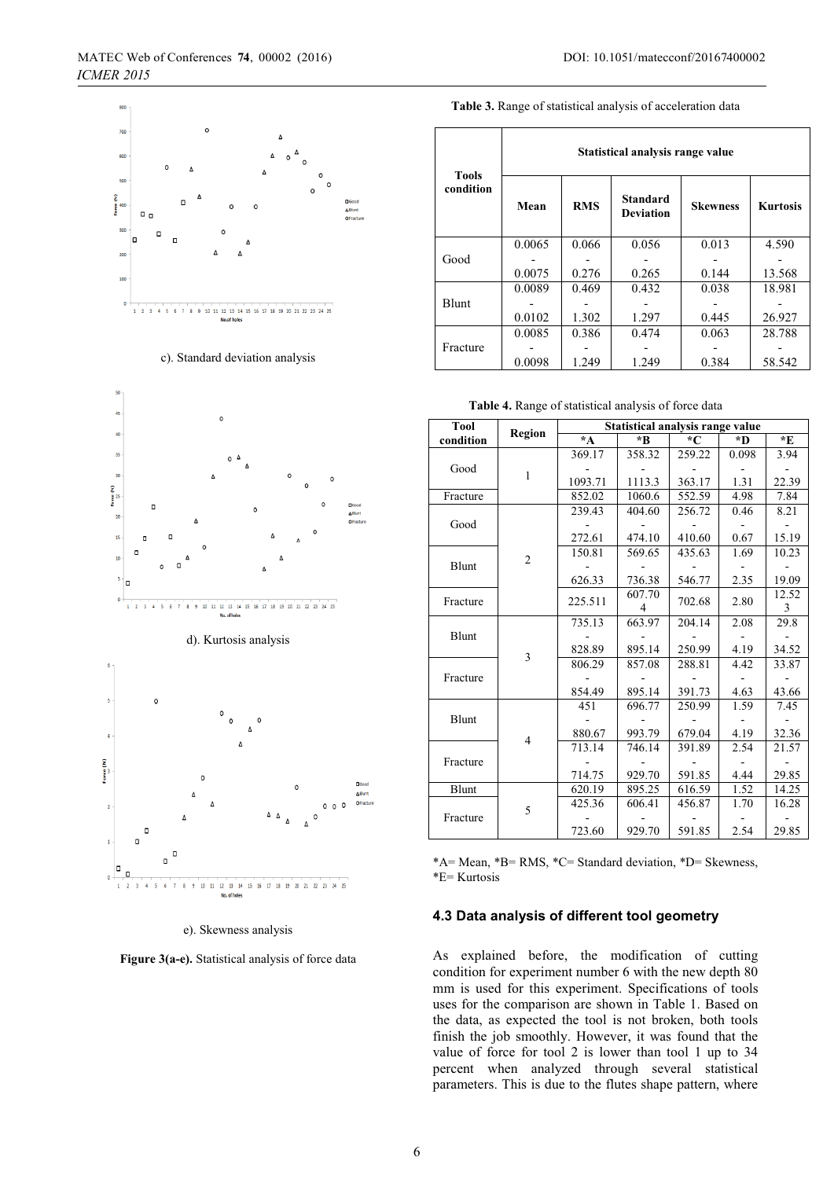





e). Skewness analysis

**Figure 3(a-e).** Statistical analysis of force data

| <b>Tools</b> | Statistical analysis range value |            |                                     |                 |                 |  |  |  |
|--------------|----------------------------------|------------|-------------------------------------|-----------------|-----------------|--|--|--|
| condition    | Mean                             | <b>RMS</b> | <b>Standard</b><br><b>Deviation</b> | <b>Skewness</b> | <b>Kurtosis</b> |  |  |  |
|              | 0.0065                           | 0.066      | 0.056                               | 0.013           | 4.590           |  |  |  |
| Good         |                                  |            |                                     |                 |                 |  |  |  |
|              | 0.0075                           | 0.276      | 0.265                               | 0.144           | 13.568          |  |  |  |
|              | 0.0089                           | 0.469      | 0.432                               | 0.038           | 18.981          |  |  |  |
| <b>Blunt</b> |                                  |            |                                     |                 |                 |  |  |  |
|              | 0.0102                           | 1.302      | 1.297                               | 0.445           | 26.927          |  |  |  |
|              | 0.0085                           | 0.386      | 0.474                               | 0.063           | 28.788          |  |  |  |
| Fracture     |                                  |            |                                     |                 |                 |  |  |  |
|              | 0.0098                           | 1.249      | 1.249                               | 0.384           | 58.542          |  |  |  |

**Table 4.** Range of statistical analysis of force data

| <b>Tool</b> |                | Statistical analysis range value |                |               |       |       |  |
|-------------|----------------|----------------------------------|----------------|---------------|-------|-------|--|
| condition   | Region         | $\star$ A                        | *B             | $\mathcal{C}$ | *D    | *E    |  |
|             |                | 369.17                           | 358.32         | 259.22        | 0.098 | 3.94  |  |
| Good        | $\mathbf{1}$   |                                  |                |               |       |       |  |
|             |                | 1093.71                          | 1113.3         | 363.17        | 1.31  | 22.39 |  |
| Fracture    |                | 852.02                           | 1060.6         | 552.59        | 4.98  | 7.84  |  |
|             |                | 239.43                           | 404.60         | 256.72        | 0.46  | 8.21  |  |
| Good        |                |                                  |                |               |       |       |  |
|             |                | 272.61                           | 474.10         | 410.60        | 0.67  | 15.19 |  |
|             | $\overline{2}$ | 150.81                           | 569.65         | 435.63        | 1.69  | 10.23 |  |
| Blunt       |                |                                  |                |               |       |       |  |
|             |                | 626.33                           | 736.38         | 546.77        | 2.35  | 19.09 |  |
| Fracture    |                | 225.511                          | 607.70         | 702.68        | 2.80  | 12.52 |  |
|             |                |                                  | $\overline{4}$ |               |       | 3     |  |
|             |                | 735.13                           | 663.97         | 204.14        | 2.08  | 29.8  |  |
| Blunt       |                |                                  |                |               |       |       |  |
|             | 3              | 828.89                           | 895.14         | 250.99        | 4.19  | 34.52 |  |
|             |                | 806.29                           | 857.08         | 288.81        | 4.42  | 33.87 |  |
| Fracture    |                |                                  |                |               |       |       |  |
|             |                | 854.49                           | 895.14         | 391.73        | 4.63  | 43.66 |  |
|             |                | 451                              | 696.77         | 250.99        | 1.59  | 7.45  |  |
| Blunt       | 4              |                                  |                |               |       |       |  |
|             |                | 880.67                           | 993.79         | 679.04        | 4.19  | 32.36 |  |
| Fracture    |                | 713.14                           | 746.14         | 391.89        | 2.54  | 21.57 |  |
|             |                |                                  |                |               |       |       |  |
|             |                | 714.75                           | 929.70         | 591.85        | 4.44  | 29.85 |  |
| Blunt       |                | 620.19                           | 895.25         | 616.59        | 1.52  | 14.25 |  |
|             | 5              | 425.36                           | 606.41         | 456.87        | 1.70  | 16.28 |  |
| Fracture    |                |                                  |                |               |       |       |  |
|             |                | 723.60                           | 929.70         | 591.85        | 2.54  | 29.85 |  |

\*A= Mean, \*B= RMS, \*C= Standard deviation, \*D= Skewness, \*E= Kurtosis

### **4.3 Data analysis of different tool geometry**

As explained before, the modification of cutting condition for experiment number 6 with the new depth 80 mm is used for this experiment. Specifications of tools uses for the comparison are shown in Table 1. Based on the data, as expected the tool is not broken, both tools finish the job smoothly. However, it was found that the value of force for tool 2 is lower than tool 1 up to 34 percent when analyzed through several statistical parameters. This is due to the flutes shape pattern, where